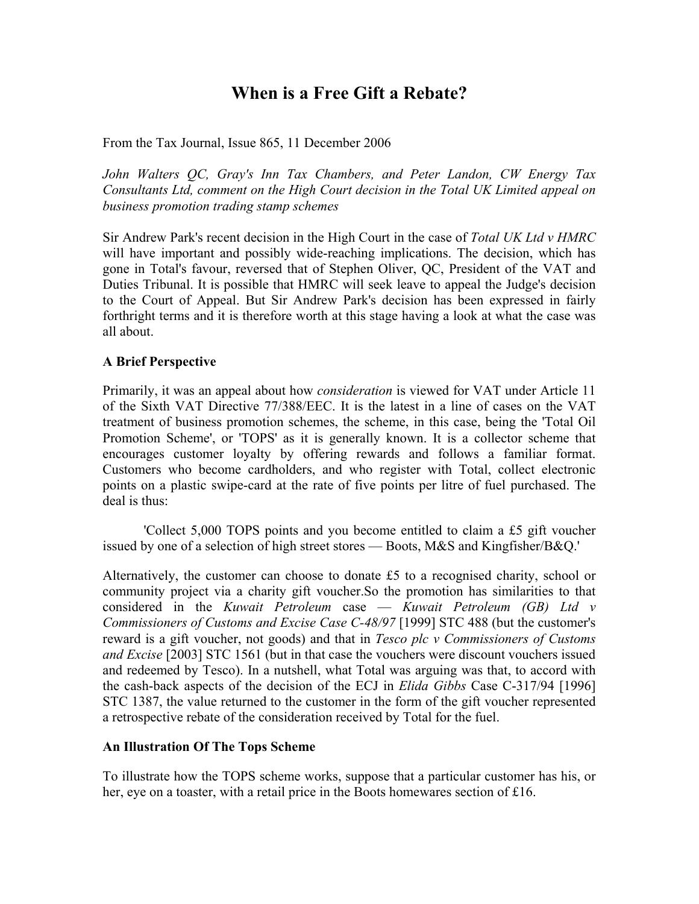# **When is a Free Gift a Rebate?**

From the Tax Journal, Issue 865, 11 December 2006

*John Walters QC, Gray's Inn Tax Chambers, and Peter Landon, CW Energy Tax Consultants Ltd, comment on the High Court decision in the Total UK Limited appeal on business promotion trading stamp schemes* 

Sir Andrew Park's recent decision in the High Court in the case of *Total UK Ltd v HMRC* will have important and possibly wide-reaching implications. The decision, which has gone in Total's favour, reversed that of Stephen Oliver, QC, President of the VAT and Duties Tribunal. It is possible that HMRC will seek leave to appeal the Judge's decision to the Court of Appeal. But Sir Andrew Park's decision has been expressed in fairly forthright terms and it is therefore worth at this stage having a look at what the case was all about.

## **A Brief Perspective**

Primarily, it was an appeal about how *consideration* is viewed for VAT under Article 11 of the Sixth VAT Directive 77/388/EEC. It is the latest in a line of cases on the VAT treatment of business promotion schemes, the scheme, in this case, being the 'Total Oil Promotion Scheme', or 'TOPS' as it is generally known. It is a collector scheme that encourages customer loyalty by offering rewards and follows a familiar format. Customers who become cardholders, and who register with Total, collect electronic points on a plastic swipe-card at the rate of five points per litre of fuel purchased. The deal is thus:

'Collect 5,000 TOPS points and you become entitled to claim a £5 gift voucher issued by one of a selection of high street stores — Boots, M&S and Kingfisher/B&Q.'

Alternatively, the customer can choose to donate £5 to a recognised charity, school or community project via a charity gift voucher.So the promotion has similarities to that considered in the *Kuwait Petroleum* case — *Kuwait Petroleum (GB) Ltd v Commissioners of Customs and Excise Case C-48/97* [1999] STC 488 (but the customer's reward is a gift voucher, not goods) and that in *Tesco plc v Commissioners of Customs and Excise* [2003] STC 1561 (but in that case the vouchers were discount vouchers issued and redeemed by Tesco). In a nutshell, what Total was arguing was that, to accord with the cash-back aspects of the decision of the ECJ in *Elida Gibbs* Case C-317/94 [1996] STC 1387, the value returned to the customer in the form of the gift voucher represented a retrospective rebate of the consideration received by Total for the fuel.

## **An Illustration Of The Tops Scheme**

To illustrate how the TOPS scheme works, suppose that a particular customer has his, or her, eye on a toaster, with a retail price in the Boots homewares section of £16.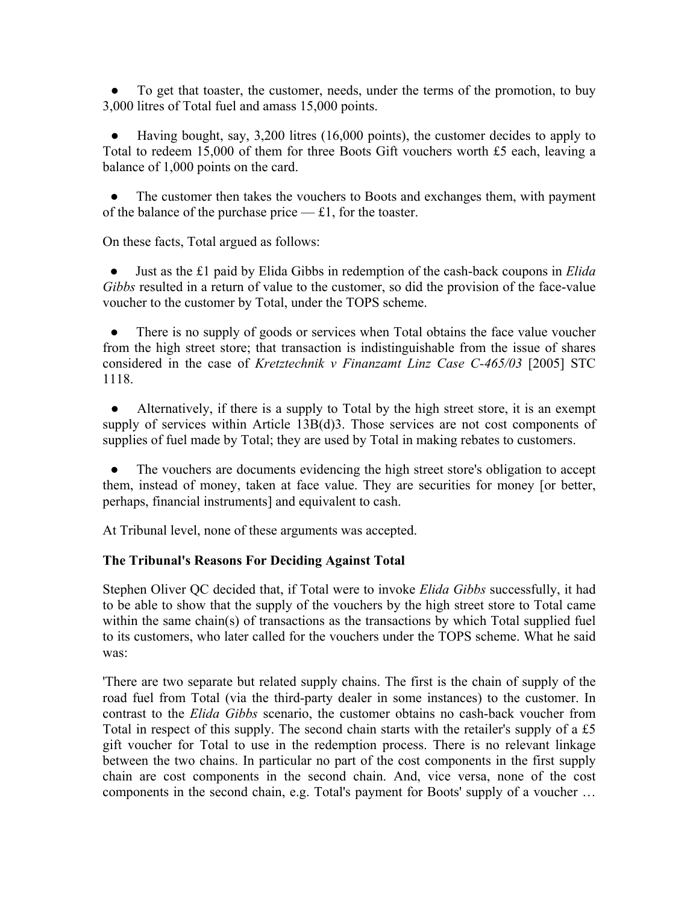To get that toaster, the customer, needs, under the terms of the promotion, to buy 3,000 litres of Total fuel and amass 15,000 points.

Having bought, say, 3,200 litres (16,000 points), the customer decides to apply to Total to redeem 15,000 of them for three Boots Gift vouchers worth £5 each, leaving a balance of 1,000 points on the card.

The customer then takes the vouchers to Boots and exchanges them, with payment of the balance of the purchase price  $-$  £1, for the toaster.

On these facts, Total argued as follows:

 ● Just as the £1 paid by Elida Gibbs in redemption of the cash-back coupons in *Elida Gibbs* resulted in a return of value to the customer, so did the provision of the face-value voucher to the customer by Total, under the TOPS scheme.

There is no supply of goods or services when Total obtains the face value voucher from the high street store; that transaction is indistinguishable from the issue of shares considered in the case of *Kretztechnik v Finanzamt Linz Case C-465/03* [2005] STC 1118.

• Alternatively, if there is a supply to Total by the high street store, it is an exempt supply of services within Article 13B(d)3. Those services are not cost components of supplies of fuel made by Total; they are used by Total in making rebates to customers.

 ● The vouchers are documents evidencing the high street store's obligation to accept them, instead of money, taken at face value. They are securities for money [or better, perhaps, financial instruments] and equivalent to cash.

At Tribunal level, none of these arguments was accepted.

# **The Tribunal's Reasons For Deciding Against Total**

Stephen Oliver QC decided that, if Total were to invoke *Elida Gibbs* successfully, it had to be able to show that the supply of the vouchers by the high street store to Total came within the same chain(s) of transactions as the transactions by which Total supplied fuel to its customers, who later called for the vouchers under the TOPS scheme. What he said was:

'There are two separate but related supply chains. The first is the chain of supply of the road fuel from Total (via the third-party dealer in some instances) to the customer. In contrast to the *Elida Gibbs* scenario, the customer obtains no cash-back voucher from Total in respect of this supply. The second chain starts with the retailer's supply of a £5 gift voucher for Total to use in the redemption process. There is no relevant linkage between the two chains. In particular no part of the cost components in the first supply chain are cost components in the second chain. And, vice versa, none of the cost components in the second chain, e.g. Total's payment for Boots' supply of a voucher …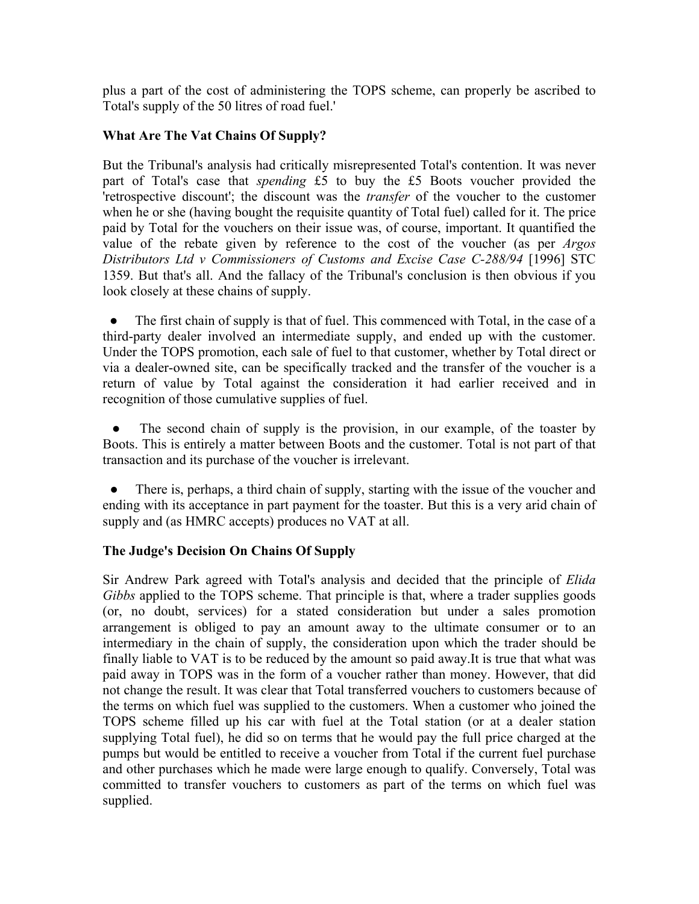plus a part of the cost of administering the TOPS scheme, can properly be ascribed to Total's supply of the 50 litres of road fuel.'

# **What Are The Vat Chains Of Supply?**

But the Tribunal's analysis had critically misrepresented Total's contention. It was never part of Total's case that *spending* £5 to buy the £5 Boots voucher provided the 'retrospective discount'; the discount was the *transfer* of the voucher to the customer when he or she (having bought the requisite quantity of Total fuel) called for it. The price paid by Total for the vouchers on their issue was, of course, important. It quantified the value of the rebate given by reference to the cost of the voucher (as per *Argos Distributors Ltd v Commissioners of Customs and Excise Case C-288/94* [1996] STC 1359. But that's all. And the fallacy of the Tribunal's conclusion is then obvious if you look closely at these chains of supply.

• The first chain of supply is that of fuel. This commenced with Total, in the case of a third-party dealer involved an intermediate supply, and ended up with the customer. Under the TOPS promotion, each sale of fuel to that customer, whether by Total direct or via a dealer-owned site, can be specifically tracked and the transfer of the voucher is a return of value by Total against the consideration it had earlier received and in recognition of those cumulative supplies of fuel.

The second chain of supply is the provision, in our example, of the toaster by Boots. This is entirely a matter between Boots and the customer. Total is not part of that transaction and its purchase of the voucher is irrelevant.

• There is, perhaps, a third chain of supply, starting with the issue of the voucher and ending with its acceptance in part payment for the toaster. But this is a very arid chain of supply and (as HMRC accepts) produces no VAT at all.

# **The Judge's Decision On Chains Of Supply**

Sir Andrew Park agreed with Total's analysis and decided that the principle of *Elida Gibbs* applied to the TOPS scheme. That principle is that, where a trader supplies goods (or, no doubt, services) for a stated consideration but under a sales promotion arrangement is obliged to pay an amount away to the ultimate consumer or to an intermediary in the chain of supply, the consideration upon which the trader should be finally liable to VAT is to be reduced by the amount so paid away.It is true that what was paid away in TOPS was in the form of a voucher rather than money. However, that did not change the result. It was clear that Total transferred vouchers to customers because of the terms on which fuel was supplied to the customers. When a customer who joined the TOPS scheme filled up his car with fuel at the Total station (or at a dealer station supplying Total fuel), he did so on terms that he would pay the full price charged at the pumps but would be entitled to receive a voucher from Total if the current fuel purchase and other purchases which he made were large enough to qualify. Conversely, Total was committed to transfer vouchers to customers as part of the terms on which fuel was supplied.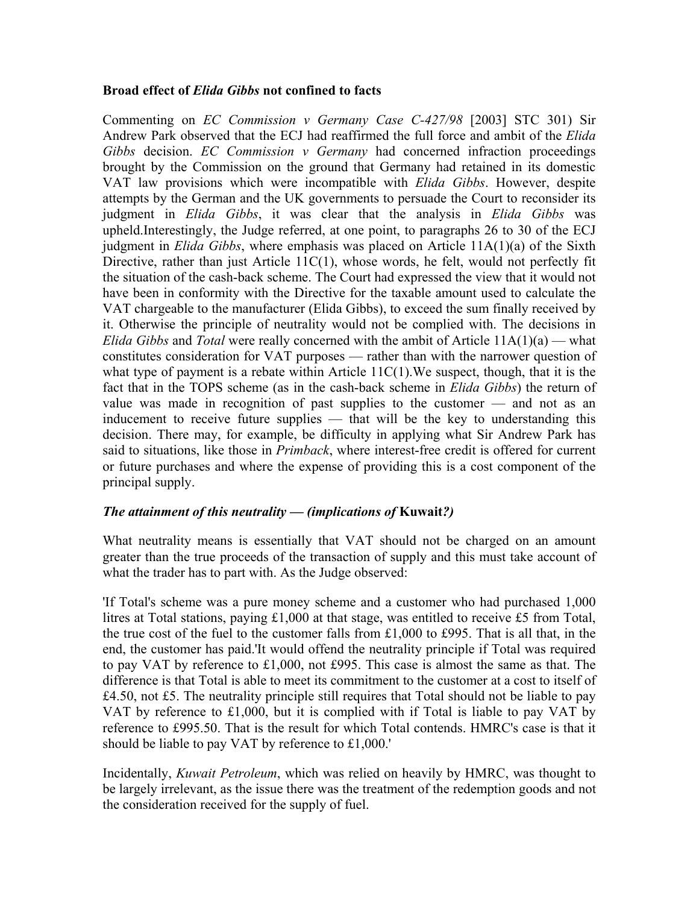## **Broad effect of** *Elida Gibbs* **not confined to facts**

Commenting on *EC Commission v Germany Case C-427/98* [2003] STC 301) Sir Andrew Park observed that the ECJ had reaffirmed the full force and ambit of the *Elida Gibbs* decision. *EC Commission v Germany* had concerned infraction proceedings brought by the Commission on the ground that Germany had retained in its domestic VAT law provisions which were incompatible with *Elida Gibbs*. However, despite attempts by the German and the UK governments to persuade the Court to reconsider its judgment in *Elida Gibbs*, it was clear that the analysis in *Elida Gibbs* was upheld.Interestingly, the Judge referred, at one point, to paragraphs 26 to 30 of the ECJ judgment in *Elida Gibbs*, where emphasis was placed on Article 11A(1)(a) of the Sixth Directive, rather than just Article 11C(1), whose words, he felt, would not perfectly fit the situation of the cash-back scheme. The Court had expressed the view that it would not have been in conformity with the Directive for the taxable amount used to calculate the VAT chargeable to the manufacturer (Elida Gibbs), to exceed the sum finally received by it. Otherwise the principle of neutrality would not be complied with. The decisions in *Elida Gibbs* and *Total* were really concerned with the ambit of Article 11A(1)(a) — what constitutes consideration for VAT purposes — rather than with the narrower question of what type of payment is a rebate within Article  $11C(1)$ . We suspect, though, that it is the fact that in the TOPS scheme (as in the cash-back scheme in *Elida Gibbs*) the return of value was made in recognition of past supplies to the customer — and not as an inducement to receive future supplies — that will be the key to understanding this decision. There may, for example, be difficulty in applying what Sir Andrew Park has said to situations, like those in *Primback*, where interest-free credit is offered for current or future purchases and where the expense of providing this is a cost component of the principal supply.

# *The attainment of this neutrality — (implications of* **Kuwait***?)*

What neutrality means is essentially that VAT should not be charged on an amount greater than the true proceeds of the transaction of supply and this must take account of what the trader has to part with. As the Judge observed:

'If Total's scheme was a pure money scheme and a customer who had purchased 1,000 litres at Total stations, paying £1,000 at that stage, was entitled to receive £5 from Total, the true cost of the fuel to the customer falls from £1,000 to £995. That is all that, in the end, the customer has paid.'It would offend the neutrality principle if Total was required to pay VAT by reference to £1,000, not £995. This case is almost the same as that. The difference is that Total is able to meet its commitment to the customer at a cost to itself of £4.50, not £5. The neutrality principle still requires that Total should not be liable to pay VAT by reference to £1,000, but it is complied with if Total is liable to pay VAT by reference to £995.50. That is the result for which Total contends. HMRC's case is that it should be liable to pay VAT by reference to £1,000.'

Incidentally, *Kuwait Petroleum*, which was relied on heavily by HMRC, was thought to be largely irrelevant, as the issue there was the treatment of the redemption goods and not the consideration received for the supply of fuel.